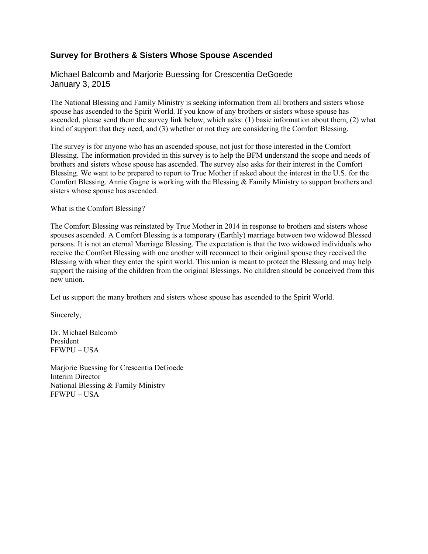# **Survey for Brothers & Sisters Whose Spouse Ascended**

Michael Balcomb and Marjorie Buessing for Crescentia DeGoede January 3, 2015

The National Blessing and Family Ministry is seeking information from all brothers and sisters whose spouse has ascended to the Spirit World. If you know of any brothers or sisters whose spouse has ascended, please send them the survey link below, which asks: (1) basic information about them, (2) what kind of support that they need, and (3) whether or not they are considering the Comfort Blessing.

The survey is for anyone who has an ascended spouse, not just for those interested in the Comfort Blessing. The information provided in this survey is to help the BFM understand the scope and needs of brothers and sisters whose spouse has ascended. The survey also asks for their interest in the Comfort Blessing. We want to be prepared to report to True Mother if asked about the interest in the U.S. for the Comfort Blessing. Annie Gagne is working with the Blessing & Family Ministry to support brothers and sisters whose spouse has ascended.

What is the Comfort Blessing?

The Comfort Blessing was reinstated by True Mother in 2014 in response to brothers and sisters whose spouses ascended. A Comfort Blessing is a temporary (Earthly) marriage between two widowed Blessed persons. It is not an eternal Marriage Blessing. The expectation is that the two widowed individuals who receive the Comfort Blessing with one another will reconnect to their original spouse they received the Blessing with when they enter the spirit world. This union is meant to protect the Blessing and may help support the raising of the children from the original Blessings. No children should be conceived from this new union.

Let us support the many brothers and sisters whose spouse has ascended to the Spirit World.

Sincerely,

Dr. Michael Balcomb President FFWPU – USA

Marjorie Buessing for Crescentia DeGoede Interim Director National Blessing & Family Ministry FFWPU – USA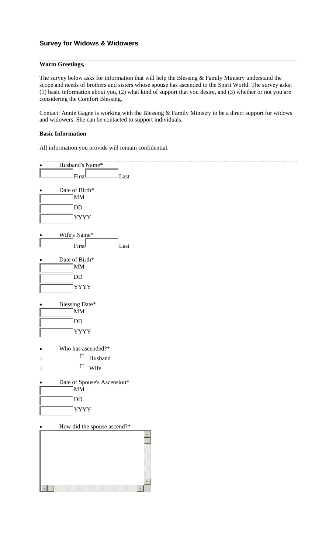### **Survey for Widows & Widowers**

#### **Warm Greetings,**

The survey below asks for information that will help the Blessing & Family Ministry understand the scope and needs of brothers and sisters whose spouse has ascended to the Spirit World. The survey asks: (1) basic information about you, (2) what kind of support that you desire, and (3) whether or not you are considering the Comfort Blessing.

Contact: Annie Gagne is working with the Blessing & Family Ministry to be a direct support for widows and widowers. She can be contacted to support individuals.

#### **Basic Information**

All information you provide will remain confidential.

|         | Husband's Name*             |
|---------|-----------------------------|
|         | First<br>Last               |
|         | Date of Birth*              |
|         | $\text{MM}{}$               |
|         | $\rm{DD}$                   |
|         | <b>YYYY</b>                 |
|         | Wife's Name*                |
|         | First<br>Last               |
|         | Date of Birth*              |
|         | $\text{MM}{}$               |
|         | $\rm{DD}$                   |
|         | <b>YYYY</b>                 |
|         | <b>Blessing Date*</b>       |
|         | MM                          |
|         | $\rm{DD}$                   |
|         | <b>YYYY</b>                 |
|         | Who has ascended?*          |
| $\circ$ | O<br>Husband                |
| $\circ$ | О<br>Wife                   |
| ٠       | Date of Spouse's Ascension* |
|         | $\mathbf{M}\mathbf{M}$      |
|         | $\rm DD$                    |
|         | <b>YYYY</b>                 |
|         | How did the spouse ascend?* |
|         |                             |
|         |                             |
|         |                             |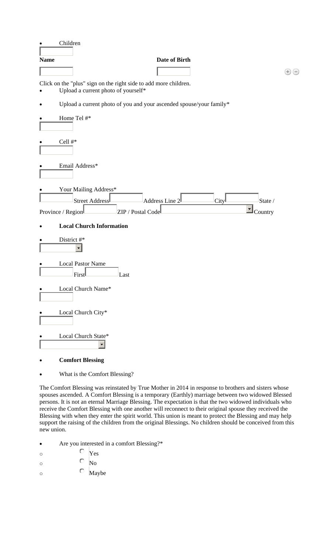|             | Children                                                                                                |  |
|-------------|---------------------------------------------------------------------------------------------------------|--|
| <b>Name</b> | Date of Birth                                                                                           |  |
|             |                                                                                                         |  |
|             | Click on the "plus" sign on the right side to add more children.<br>Upload a current photo of yourself* |  |
| $\bullet$   | Upload a current photo of you and your ascended spouse/your family*                                     |  |
| $\bullet$   | Home Tel #*                                                                                             |  |
|             | Cell #*                                                                                                 |  |
|             | Email Address*                                                                                          |  |
|             | Your Mailing Address*                                                                                   |  |
|             | Address Line 2<br>Street Address<br>State /<br>City                                                     |  |
|             | ZIP / Postal Code<br>Province / Region<br>Country                                                       |  |
|             | <b>Local Church Information</b>                                                                         |  |
| $\bullet$   | District #*                                                                                             |  |
|             | <b>Local Pastor Name</b><br>First<br>Last                                                               |  |
|             | Local Church Name*                                                                                      |  |
|             | Local Church City*                                                                                      |  |
|             | Local Church State*                                                                                     |  |
|             | <b>Comfort Blessing</b>                                                                                 |  |

What is the Comfort Blessing?

The Comfort Blessing was reinstated by True Mother in 2014 in response to brothers and sisters whose spouses ascended. A Comfort Blessing is a temporary (Earthly) marriage between two widowed Blessed persons. It is not an eternal Marriage Blessing. The expectation is that the two widowed individuals who receive the Comfort Blessing with one another will reconnect to their original spouse they received the Blessing with when they enter the spirit world. This union is meant to protect the Blessing and may help support the raising of the children from the original Blessings. No children should be conceived from this new union.

- Are you interested in a comfort Blessing?\*
- $\circ$   $\circ$   $\circ$   $\circ$   $\circ$
- $\circ$  No
- $\circ$  Maybe